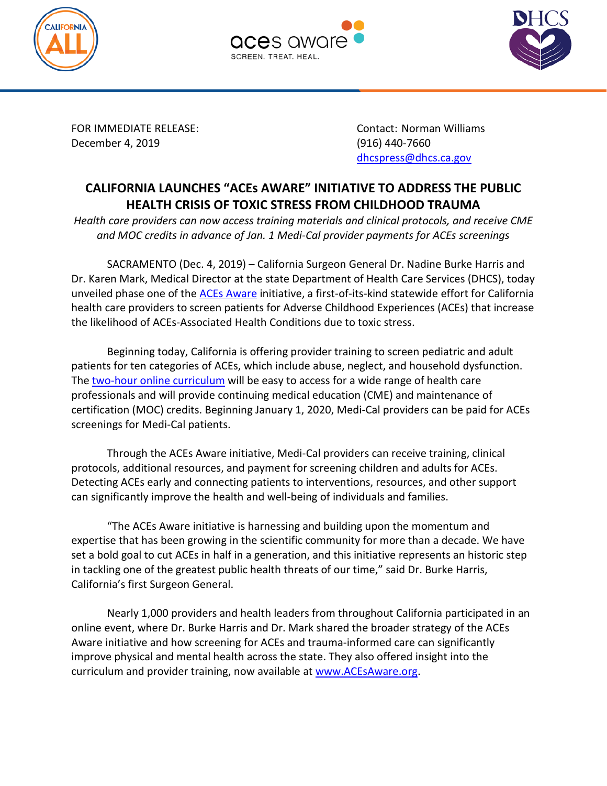





December 4, 2019 (916) 440-7660

FOR IMMEDIATE RELEASE: Contact: Norman Williams [dhcspress@dhcs.ca.gov](mailto:dhcspress@dhcs.ca.gov)

## **CALIFORNIA LAUNCHES "ACEs AWARE" INITIATIVE TO ADDRESS THE PUBLIC HEALTH CRISIS OF TOXIC STRESS FROM CHILDHOOD TRAUMA**

*Health care providers can now access training materials and clinical protocols, and receive CME and MOC credits in advance of Jan. 1 Medi-Cal provider payments for ACEs screenings*

SACRAMENTO (Dec. 4, 2019) – California Surgeon General Dr. Nadine Burke Harris and Dr. Karen Mark, Medical Director at the state Department of Health Care Services (DHCS), today unveiled phase one of the **ACEs Aware** initiative, a first-of-its-kind statewide effort for California health care providers to screen patients for Adverse Childhood Experiences (ACEs) that increase the likelihood of ACEs-Associated Health Conditions due to toxic stress.

Beginning today, California is offering provider training to screen pediatric and adult patients for ten categories of ACEs, which include abuse, neglect, and household dysfunction. The [two-hour online curriculum](https://training.acesaware.org/) will be easy to access for a wide range of health care professionals and will provide continuing medical education (CME) and maintenance of certification (MOC) credits. Beginning January 1, 2020, Medi-Cal providers can be paid for ACEs screenings for Medi-Cal patients.

Through the ACEs Aware initiative, Medi-Cal providers can receive training, clinical protocols, additional resources, and payment for screening children and adults for ACEs. Detecting ACEs early and connecting patients to interventions, resources, and other support can significantly improve the health and well-being of individuals and families.

"The ACEs Aware initiative is harnessing and building upon the momentum and expertise that has been growing in the scientific community for more than a decade. We have set a bold goal to cut ACEs in half in a generation, and this initiative represents an historic step in tackling one of the greatest public health threats of our time," said Dr. Burke Harris, California's first Surgeon General.

Nearly 1,000 providers and health leaders from throughout California participated in an online event, where Dr. Burke Harris and Dr. Mark shared the broader strategy of the ACEs Aware initiative and how screening for ACEs and trauma-informed care can significantly improve physical and mental health across the state. They also offered insight into the curriculum and provider training, now available at [www.ACEsAware.org.](http://www.acesaware.org/)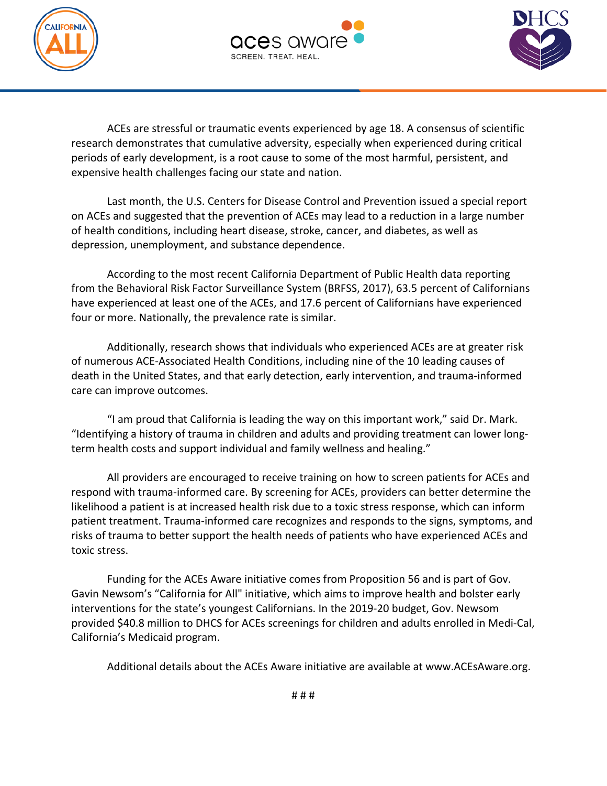





ACEs are stressful or traumatic events experienced by age 18. A consensus of scientific research demonstrates that cumulative adversity, especially when experienced during critical periods of early development, is a root cause to some of the most harmful, persistent, and expensive health challenges facing our state and nation.

Last month, the U.S. Centers for Disease Control and Prevention issued a special report on ACEs and suggested that the prevention of ACEs may lead to a reduction in a large number of health conditions, including heart disease, stroke, cancer, and diabetes, as well as depression, unemployment, and substance dependence.

According to the most recent California Department of Public Health data reporting from the Behavioral Risk Factor Surveillance System (BRFSS, 2017), 63.5 percent of Californians have experienced at least one of the ACEs, and 17.6 percent of Californians have experienced four or more. Nationally, the prevalence rate is similar.

Additionally, research shows that individuals who experienced ACEs are at greater risk of numerous ACE-Associated Health Conditions, including nine of the 10 leading causes of death in the United States, and that early detection, early intervention, and trauma-informed care can improve outcomes.

 "I am proud that California is leading the way on this important work," said Dr. Mark. "Identifying a history of trauma in children and adults and providing treatment can lower longterm health costs and support individual and family wellness and healing."

All providers are encouraged to receive training on how to screen patients for ACEs and respond with trauma-informed care. By screening for ACEs, providers can better determine the likelihood a patient is at increased health risk due to a toxic stress response, which can inform patient treatment. Trauma-informed care recognizes and responds to the signs, symptoms, and risks of trauma to better support the health needs of patients who have experienced ACEs and toxic stress.

Funding for the ACEs Aware initiative comes from Proposition 56 and is part of Gov. Gavin Newsom's "California for All" initiative, which aims to improve health and bolster early interventions for the state's youngest Californians. In the 2019-20 budget, Gov. Newsom provided \$40.8 million to DHCS for ACEs screenings for children and adults enrolled in Medi-Cal, California's Medicaid program.

Additional details about the ACEs Aware initiative are available at www.ACEsAware.org.